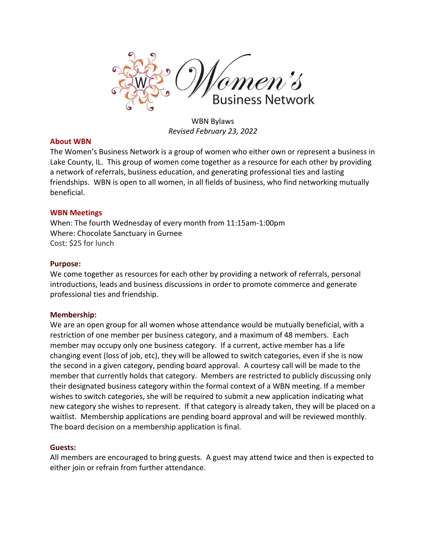

WBN Bylaws *Revised February 23, 2022*

## **About WBN**

The Women's Business Network is a group of women who either own or represent a business in Lake County, IL. This group of women come together as a resource for each other by providing a network of referrals, business education, and generating professional ties and lasting friendships. WBN is open to all women, in all fields of business, who find networking mutually beneficial.

## **WBN Meetings**

When: The fourth Wednesday of every month from 11:15am-1:00pm Where: Chocolate Sanctuary in Gurnee Cost: \$25 for lunch

## **Purpose:**

We come together as resources for each other by providing a network of referrals, personal introductions, leads and business discussions in order to promote commerce and generate professional ties and friendship.

# **Membership:**

We are an open group for all women whose attendance would be mutually beneficial, with a restriction of one member per business category, and a maximum of 48 members. Each member may occupy only one business category. If a current, active member has a life changing event (loss of job, etc), they will be allowed to switch categories, even if she is now the second in a given category, pending board approval. A courtesy call will be made to the member that currently holds that category. Members are restricted to publicly discussing only their designated business category within the formal context of a WBN meeting. If a member wishes to switch categories, she will be required to submit a new application indicating what new category she wishes to represent. If that category is already taken, they will be placed on a waitlist. Membership applications are pending board approval and will be reviewed monthly. The board decision on a membership application is final.

# **Guests:**

All members are encouraged to bring guests. A guest may attend twice and then is expected to either join or refrain from further attendance.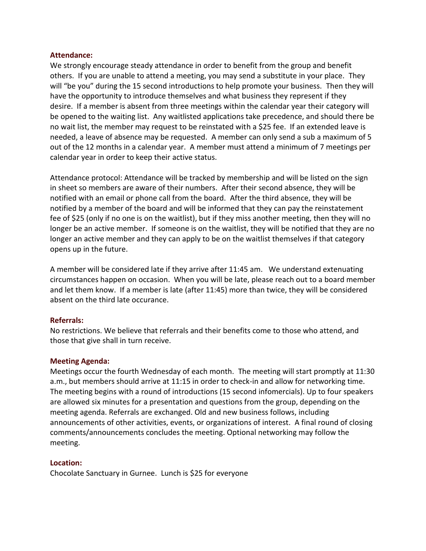### **Attendance:**

We strongly encourage steady attendance in order to benefit from the group and benefit others. If you are unable to attend a meeting, you may send a substitute in your place. They will "be you" during the 15 second introductions to help promote your business. Then they will have the opportunity to introduce themselves and what business they represent if they desire. If a member is absent from three meetings within the calendar year their category will be opened to the waiting list. Any waitlisted applications take precedence, and should there be no wait list, the member may request to be reinstated with a \$25 fee. If an extended leave is needed, a leave of absence may be requested. A member can only send a sub a maximum of 5 out of the 12 months in a calendar year. A member must attend a minimum of 7 meetings per calendar year in order to keep their active status.

Attendance protocol: Attendance will be tracked by membership and will be listed on the sign in sheet so members are aware of their numbers. After their second absence, they will be notified with an email or phone call from the board. After the third absence, they will be notified by a member of the board and will be informed that they can pay the reinstatement fee of \$25 (only if no one is on the waitlist), but if they miss another meeting, then they will no longer be an active member. If someone is on the waitlist, they will be notified that they are no longer an active member and they can apply to be on the waitlist themselves if that category opens up in the future.

A member will be considered late if they arrive after 11:45 am. We understand extenuating circumstances happen on occasion. When you will be late, please reach out to a board member and let them know. If a member is late (after 11:45) more than twice, they will be considered absent on the third late occurance.

## **Referrals:**

No restrictions. We believe that referrals and their benefits come to those who attend, and those that give shall in turn receive.

## **Meeting Agenda:**

Meetings occur the fourth Wednesday of each month. The meeting will start promptly at 11:30 a.m., but members should arrive at 11:15 in order to check-in and allow for networking time. The meeting begins with a round of introductions (15 second infomercials). Up to four speakers are allowed six minutes for a presentation and questions from the group, depending on the meeting agenda. Referrals are exchanged. Old and new business follows, including announcements of other activities, events, or organizations of interest. A final round of closing comments/announcements concludes the meeting. Optional networking may follow the meeting.

# **Location:**

Chocolate Sanctuary in Gurnee. Lunch is \$25 for everyone